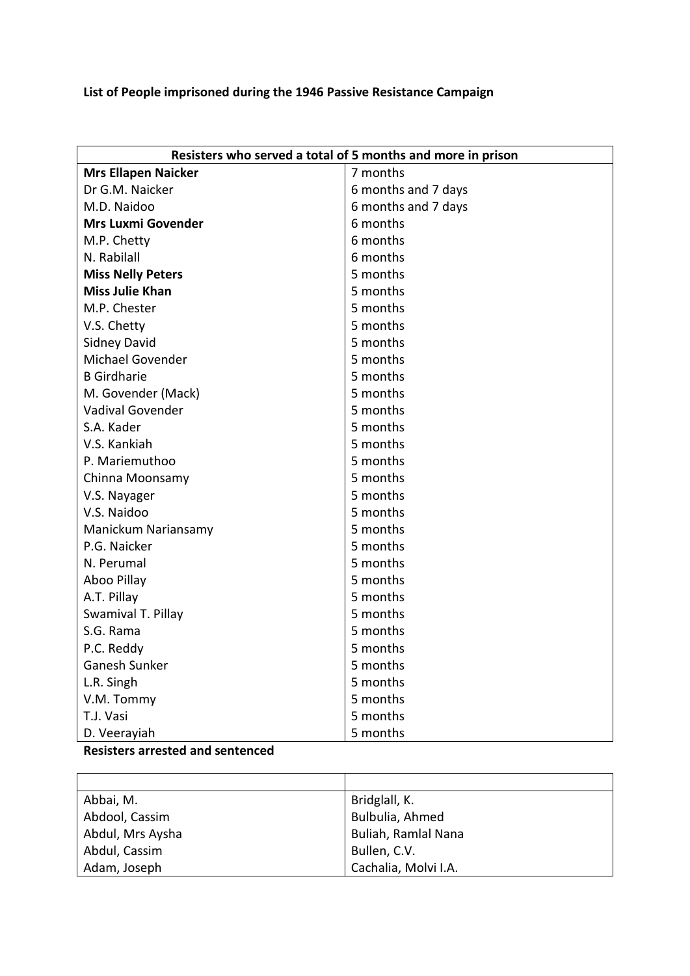## **List of People imprisoned during the 1946 Passive Resistance Campaign**

| Resisters who served a total of 5 months and more in prison |                     |  |
|-------------------------------------------------------------|---------------------|--|
| <b>Mrs Ellapen Naicker</b>                                  | 7 months            |  |
| Dr G.M. Naicker                                             | 6 months and 7 days |  |
| M.D. Naidoo                                                 | 6 months and 7 days |  |
| <b>Mrs Luxmi Govender</b>                                   | 6 months            |  |
| M.P. Chetty                                                 | 6 months            |  |
| N. Rabilall                                                 | 6 months            |  |
| <b>Miss Nelly Peters</b>                                    | 5 months            |  |
| <b>Miss Julie Khan</b>                                      | 5 months            |  |
| M.P. Chester                                                | 5 months            |  |
| V.S. Chetty                                                 | 5 months            |  |
| <b>Sidney David</b>                                         | 5 months            |  |
| <b>Michael Govender</b>                                     | 5 months            |  |
| <b>B</b> Girdharie                                          | 5 months            |  |
| M. Govender (Mack)                                          | 5 months            |  |
| Vadival Govender                                            | 5 months            |  |
| S.A. Kader                                                  | 5 months            |  |
| V.S. Kankiah                                                | 5 months            |  |
| P. Mariemuthoo                                              | 5 months            |  |
| Chinna Moonsamy                                             | 5 months            |  |
| V.S. Nayager                                                | 5 months            |  |
| V.S. Naidoo                                                 | 5 months            |  |
| Manickum Nariansamy                                         | 5 months            |  |
| P.G. Naicker                                                | 5 months            |  |
| N. Perumal                                                  | 5 months            |  |
| Aboo Pillay                                                 | 5 months            |  |
| A.T. Pillay                                                 | 5 months            |  |
| Swamival T. Pillay                                          | 5 months            |  |
| S.G. Rama                                                   | 5 months            |  |
| P.C. Reddy                                                  | 5 months            |  |
| Ganesh Sunker                                               | 5 months            |  |
| L.R. Singh                                                  | 5 months            |  |
| V.M. Tommy                                                  | 5 months            |  |
| T.J. Vasi                                                   | 5 months            |  |
| D. Veerayiah                                                | 5 months            |  |

**Resisters arrested and sentenced**

| Abbai, M.        | Bridglall, K.        |
|------------------|----------------------|
| Abdool, Cassim   | Bulbulia, Ahmed      |
| Abdul, Mrs Aysha | Buliah, Ramlal Nana  |
| Abdul, Cassim    | Bullen, C.V.         |
| Adam, Joseph     | Cachalia, Molvi I.A. |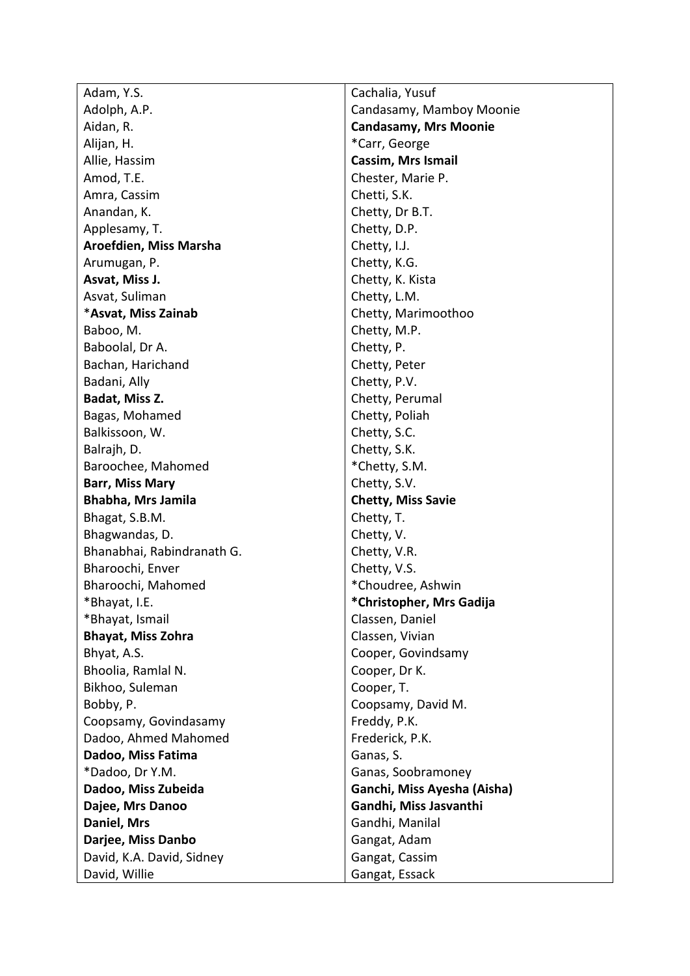Adam, Y.S. Adolph, A.P. Aidan, R. Alijan, H. Allie, Hassim Amod, T.E. Amra, Cassim Anandan, K. Applesamy, T. **Aroefdien, Miss Marsha**  Arumugan, P. **Asvat, Miss J.**  Asvat, Suliman \***Asvat, Miss Zainab** Baboo, M. Baboolal, Dr A. Bachan, Harichand Badani, Ally **Badat, Miss Z.**  Bagas, Mohamed Balkissoon, W. Balrajh, D. Baroochee, Mahomed **Barr, Miss Mary Bhabha, Mrs Jamila** Bhagat, S.B.M. Bhagwandas, D. Bhanabhai, Rabindranath G. Bharoochi, Enver Bharoochi, Mahomed \*Bhayat, I.E. \*Bhayat, Ismail **Bhayat, Miss Zohra**  Bhyat, A.S. Bhoolia, Ramlal N. Bikhoo, Suleman Bobby, P. Coopsamy, Govindasamy Dadoo, Ahmed Mahomed **Dadoo, Miss Fatima** \*Dadoo, Dr Y.M. **Dadoo, Miss Zubeida Dajee, Mrs Danoo Daniel, Mrs Darjee, Miss Danbo**  David, K.A. David, Sidney David, Willie

Cachalia, Yusuf Candasamy, Mamboy Moonie **Candasamy, Mrs Moonie** \*Carr, George **Cassim, Mrs Ismail**  Chester, Marie P. Chetti, S.K. Chetty, Dr B.T. Chetty, D.P. Chetty, I.J. Chetty, K.G. Chetty, K. Kista Chetty, L.M. Chetty, Marimoothoo Chetty, M.P. Chetty, P. Chetty, Peter Chetty, P.V. Chetty, Perumal Chetty, Poliah Chetty, S.C. Chetty, S.K. \*Chetty, S.M. Chetty, S.V. **Chetty, Miss Savie**  Chetty, T. Chetty, V. Chetty, V.R. Chetty, V.S. \*Choudree, Ashwin **\*Christopher, Mrs Gadija**  Classen, Daniel Classen, Vivian Cooper, Govindsamy Cooper, Dr K. Cooper, T. Coopsamy, David M. Freddy, P.K. Frederick, P.K. Ganas, S. Ganas, Soobramoney **Ganchi, Miss Ayesha (Aisha) Gandhi, Miss Jasvanthi** Gandhi, Manilal Gangat, Adam Gangat, Cassim Gangat, Essack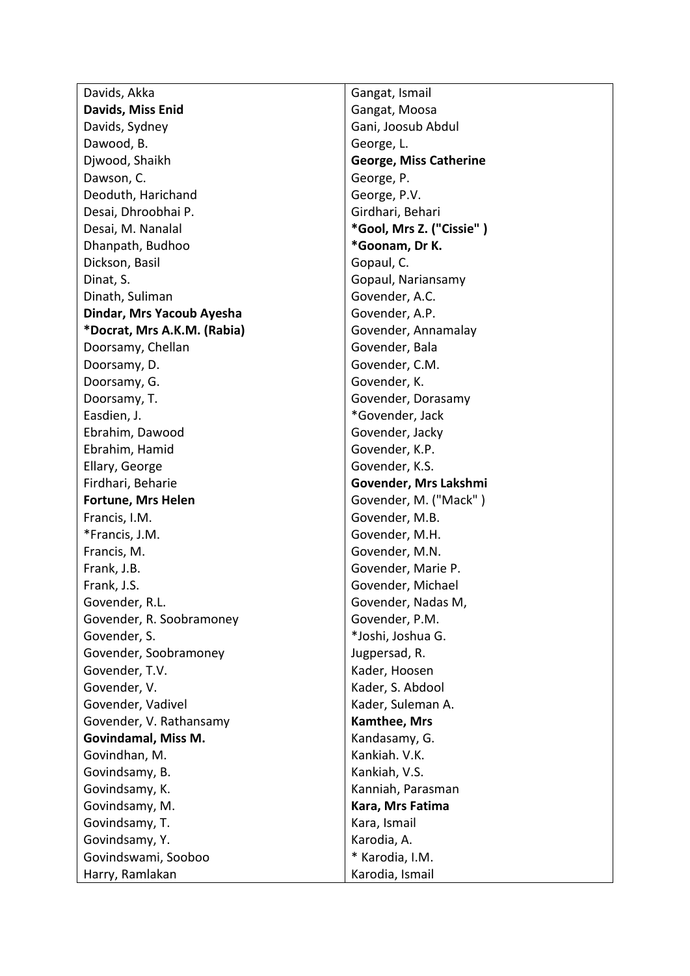Davids, Akka **Davids, Miss Enid**  Davids, Sydney Dawood, B. Djwood, Shaikh Dawson, C. Deoduth, Harichand Desai, Dhroobhai P. Desai, M. Nanalal Dhanpath, Budhoo Dickson, Basil Dinat, S. Dinath, Suliman **Dindar, Mrs Yacoub Ayesha \*Docrat, Mrs A.K.M. (Rabia)**  Doorsamy, Chellan Doorsamy, D. Doorsamy, G. Doorsamy, T. Easdien, J. Ebrahim, Dawood Ebrahim, Hamid Ellary, George Firdhari, Beharie **Fortune, Mrs Helen**  Francis, I.M. \*Francis, J.M. Francis, M. Frank, J.B. Frank, J.S. Govender, R.L. Govender, R. Soobramoney Govender, S. Govender, Soobramoney Govender, T.V. Govender, V. Govender, Vadivel Govender, V. Rathansamy **Govindamal, Miss M.**  Govindhan, M. Govindsamy, B. Govindsamy, K. Govindsamy, M. Govindsamy, T. Govindsamy, Y. Govindswami, Sooboo Harry, Ramlakan

Gangat, Ismail Gangat, Moosa Gani, Joosub Abdul George, L. **George, Miss Catherine** George, P. George, P.V. Girdhari, Behari **\*Gool, Mrs Z. ("Cissie" ) \*Goonam, Dr K.**  Gopaul, C. Gopaul, Nariansamy Govender, A.C. Govender, A.P. Govender, Annamalay Govender, Bala Govender, C.M. Govender, K. Govender, Dorasamy \*Govender, Jack Govender, Jacky Govender, K.P. Govender, K.S. **Govender, Mrs Lakshmi**  Govender, M. ("Mack" ) Govender, M.B. Govender, M.H. Govender, M.N. Govender, Marie P. Govender, Michael Govender, Nadas M, Govender, P.M. \*Joshi, Joshua G. Jugpersad, R. Kader, Hoosen Kader, S. Abdool Kader, Suleman A. **Kamthee, Mrs**  Kandasamy, G. Kankiah. V.K. Kankiah, V.S. Kanniah, Parasman **Kara, Mrs Fatima**  Kara, Ismail Karodia, A. \* Karodia, I.M. Karodia, Ismail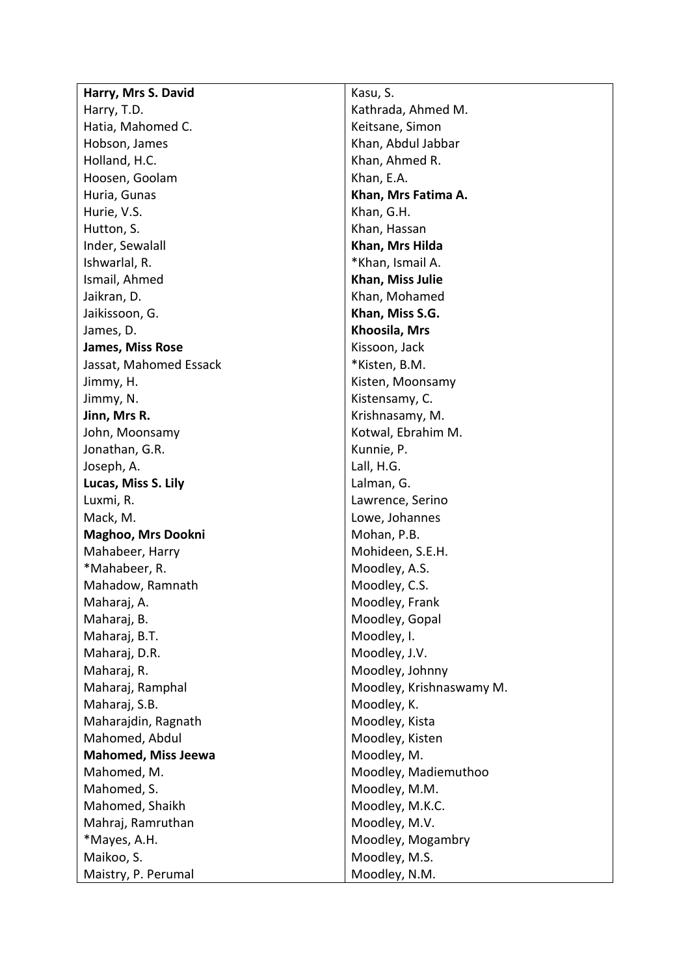| Harry, Mrs S. David        | Kasu, S.                 |
|----------------------------|--------------------------|
| Harry, T.D.                | Kathrada, Ahmed M.       |
| Hatia, Mahomed C.          | Keitsane, Simon          |
| Hobson, James              | Khan, Abdul Jabbar       |
| Holland, H.C.              | Khan, Ahmed R.           |
| Hoosen, Goolam             | Khan, E.A.               |
| Huria, Gunas               | Khan, Mrs Fatima A.      |
| Hurie, V.S.                | Khan, G.H.               |
| Hutton, S.                 | Khan, Hassan             |
| Inder, Sewalall            | Khan, Mrs Hilda          |
| Ishwarlal, R.              | *Khan, Ismail A.         |
| Ismail, Ahmed              | Khan, Miss Julie         |
| Jaikran, D.                | Khan, Mohamed            |
| Jaikissoon, G.             | Khan, Miss S.G.          |
| James, D.                  | Khoosila, Mrs            |
| James, Miss Rose           | Kissoon, Jack            |
| Jassat, Mahomed Essack     | *Kisten, B.M.            |
| Jimmy, H.                  | Kisten, Moonsamy         |
| Jimmy, N.                  | Kistensamy, C.           |
| Jinn, Mrs R.               | Krishnasamy, M.          |
| John, Moonsamy             | Kotwal, Ebrahim M.       |
| Jonathan, G.R.             | Kunnie, P.               |
| Joseph, A.                 | Lall, H.G.               |
| Lucas, Miss S. Lily        | Lalman, G.               |
| Luxmi, R.                  | Lawrence, Serino         |
| Mack, M.                   | Lowe, Johannes           |
| Maghoo, Mrs Dookni         | Mohan, P.B.              |
| Mahabeer, Harry            | Mohideen, S.E.H.         |
| *Mahabeer, R.              | Moodley, A.S.            |
| Mahadow, Ramnath           | Moodley, C.S.            |
| Maharaj, A.                | Moodley, Frank           |
| Maharaj, B.                | Moodley, Gopal           |
| Maharaj, B.T.              | Moodley, I.              |
| Maharaj, D.R.              | Moodley, J.V.            |
| Maharaj, R.                | Moodley, Johnny          |
| Maharaj, Ramphal           | Moodley, Krishnaswamy M. |
| Maharaj, S.B.              | Moodley, K.              |
| Maharajdin, Ragnath        | Moodley, Kista           |
| Mahomed, Abdul             | Moodley, Kisten          |
| <b>Mahomed, Miss Jeewa</b> | Moodley, M.              |
| Mahomed, M.                | Moodley, Madiemuthoo     |
| Mahomed, S.                | Moodley, M.M.            |
| Mahomed, Shaikh            | Moodley, M.K.C.          |
| Mahraj, Ramruthan          | Moodley, M.V.            |
| *Mayes, A.H.               | Moodley, Mogambry        |
| Maikoo, S.                 | Moodley, M.S.            |
| Maistry, P. Perumal        | Moodley, N.M.            |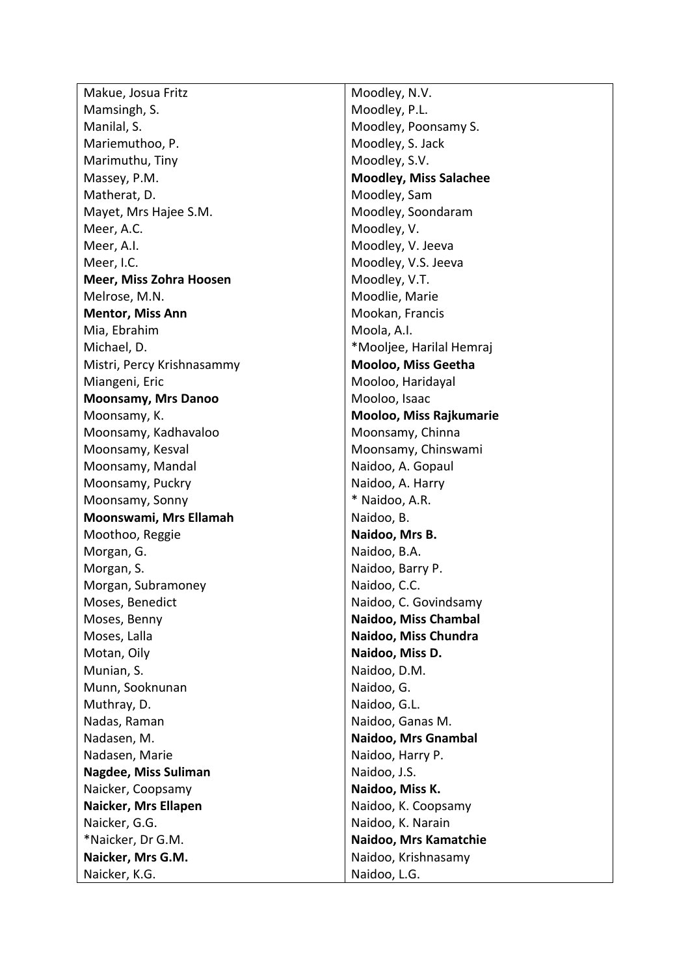Makue, Josua Fritz Mamsingh, S. Manilal, S. Mariemuthoo, P. Marimuthu, Tiny Massey, P.M. Matherat, D. Mayet, Mrs Hajee S.M. Meer, A.C. Meer, A.I. Meer, I.C. **Meer, Miss Zohra Hoosen** Melrose, M.N. **Mentor, Miss Ann** Mia, Ebrahim Michael, D. Mistri, Percy Krishnasammy Miangeni, Eric **Moonsamy, Mrs Danoo**  Moonsamy, K. Moonsamy, Kadhavaloo Moonsamy, Kesval Moonsamy, Mandal Moonsamy, Puckry Moonsamy, Sonny **Moonswami, Mrs Ellamah**  Moothoo, Reggie Morgan, G. Morgan, S. Morgan, Subramoney Moses, Benedict Moses, Benny Moses, Lalla Motan, Oily Munian, S. Munn, Sooknunan Muthray, D. Nadas, Raman Nadasen, M. Nadasen, Marie **Nagdee, Miss Suliman**  Naicker, Coopsamy **Naicker, Mrs Ellapen**  Naicker, G.G. \*Naicker, Dr G.M. **Naicker, Mrs G.M.**  Naicker, K.G.

Moodley, N.V. Moodley, P.L. Moodley, Poonsamy S. Moodley, S. Jack Moodley, S.V. **Moodley, Miss Salachee**  Moodley, Sam Moodley, Soondaram Moodley, V. Moodley, V. Jeeva Moodley, V.S. Jeeva Moodley, V.T. Moodlie, Marie Mookan, Francis Moola, A.I. \*Mooljee, Harilal Hemraj **Mooloo, Miss Geetha**  Mooloo, Haridayal Mooloo, Isaac **Mooloo, Miss Rajkumarie**  Moonsamy, Chinna Moonsamy, Chinswami Naidoo, A. Gopaul Naidoo, A. Harry \* Naidoo, A.R. Naidoo, B. **Naidoo, Mrs B.**  Naidoo, B.A. Naidoo, Barry P. Naidoo, C.C. Naidoo, C. Govindsamy **Naidoo, Miss Chambal Naidoo, Miss Chundra Naidoo, Miss D.**  Naidoo, D.M. Naidoo, G. Naidoo, G.L. Naidoo, Ganas M. **Naidoo, Mrs Gnambal**  Naidoo, Harry P. Naidoo, J.S. **Naidoo, Miss K.**  Naidoo, K. Coopsamy Naidoo, K. Narain **Naidoo, Mrs Kamatchie**  Naidoo, Krishnasamy Naidoo, L.G.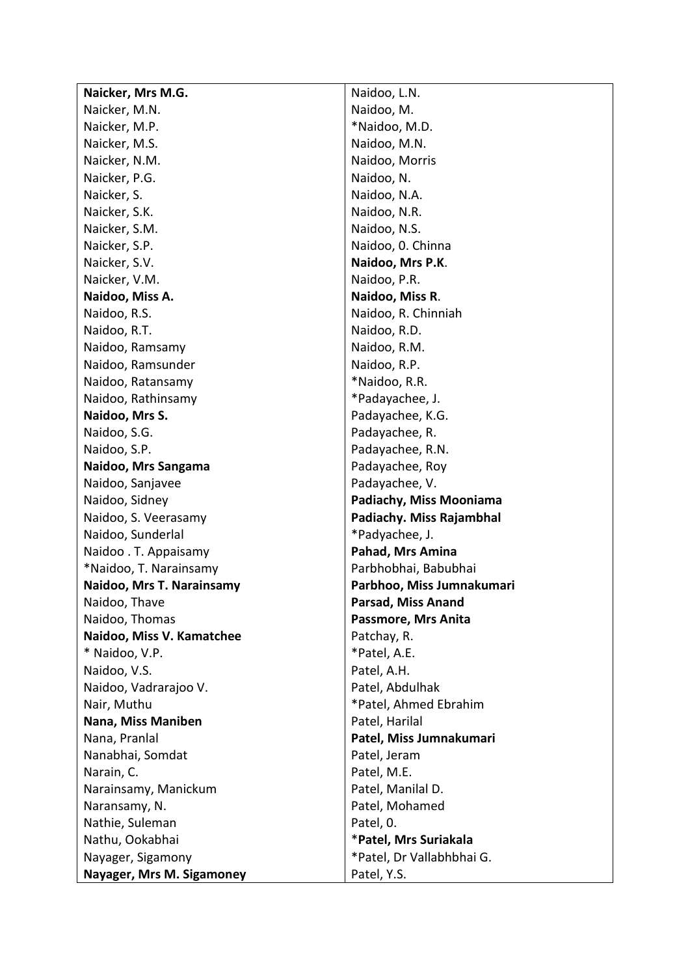| Naicker, Mrs M.G.                     | Naidoo, L.N.                |
|---------------------------------------|-----------------------------|
| Naicker, M.N.                         | Naidoo, M.                  |
| Naicker, M.P.                         | *Naidoo, M.D.               |
| Naicker, M.S.                         | Naidoo, M.N.                |
| Naicker, N.M.                         | Naidoo, Morris              |
| Naicker, P.G.                         | Naidoo, N.                  |
| Naicker, S.                           | Naidoo, N.A.                |
| Naicker, S.K.                         | Naidoo, N.R.                |
| Naicker, S.M.                         | Naidoo, N.S.                |
| Naicker, S.P.                         | Naidoo, 0. Chinna           |
| Naicker, S.V.                         | Naidoo, Mrs P.K.            |
| Naicker, V.M.                         | Naidoo, P.R.                |
| Naidoo, Miss A.                       | Naidoo, Miss R.             |
| Naidoo, R.S.                          | Naidoo, R. Chinniah         |
| Naidoo, R.T.                          | Naidoo, R.D.                |
| Naidoo, Ramsamy                       | Naidoo, R.M.                |
| Naidoo, Ramsunder                     | Naidoo, R.P.                |
| Naidoo, Ratansamy                     | *Naidoo, R.R.               |
| Naidoo, Rathinsamy                    | *Padayachee, J.             |
| Naidoo, Mrs S.                        | Padayachee, K.G.            |
| Naidoo, S.G.                          | Padayachee, R.              |
| Naidoo, S.P.                          | Padayachee, R.N.            |
| Naidoo, Mrs Sangama                   | Padayachee, Roy             |
| Naidoo, Sanjavee                      | Padayachee, V.              |
| Naidoo, Sidney                        | Padiachy, Miss Mooniama     |
| Naidoo, S. Veerasamy                  | Padiachy. Miss Rajambhal    |
| Naidoo, Sunderlal                     | *Padyachee, J.              |
| Naidoo . T. Appaisamy                 | Pahad, Mrs Amina            |
| *Naidoo, T. Narainsamy                | Parbhobhai, Babubhai        |
| Naidoo, Mrs T. Narainsamy             | Parbhoo, Miss Jumnakumari   |
| Naidoo, Thave                         | Parsad, Miss Anand          |
| Naidoo, Thomas                        | Passmore, Mrs Anita         |
| Naidoo, Miss V. Kamatchee             | Patchay, R.                 |
| * Naidoo, V.P.                        | *Patel, A.E.<br>Patel, A.H. |
| Naidoo, V.S.<br>Naidoo, Vadrarajoo V. | Patel, Abdulhak             |
| Nair, Muthu                           | *Patel, Ahmed Ebrahim       |
| Nana, Miss Maniben                    | Patel, Harilal              |
| Nana, Pranlal                         | Patel, Miss Jumnakumari     |
| Nanabhai, Somdat                      | Patel, Jeram                |
| Narain, C.                            | Patel, M.E.                 |
| Narainsamy, Manickum                  | Patel, Manilal D.           |
| Naransamy, N.                         | Patel, Mohamed              |
| Nathie, Suleman                       | Patel, 0.                   |
| Nathu, Ookabhai                       | *Patel, Mrs Suriakala       |
| Nayager, Sigamony                     | *Patel, Dr Vallabhbhai G.   |
| Nayager, Mrs M. Sigamoney             | Patel, Y.S.                 |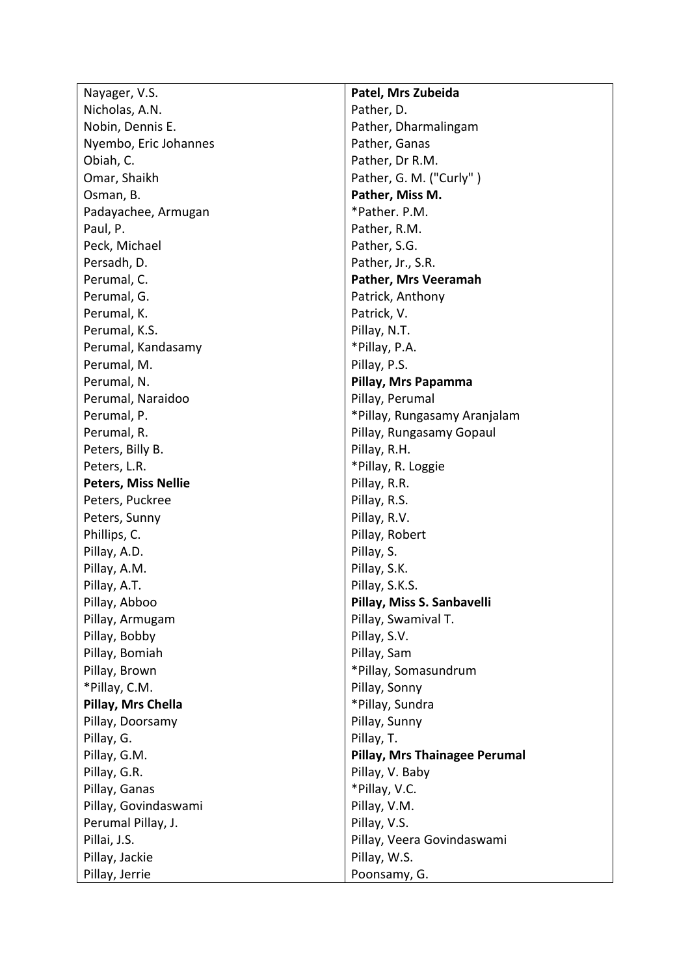Nayager, V.S. Nicholas, A.N. Nobin, Dennis E. Nyembo, Eric Johannes Obiah, C. Omar, Shaikh Osman, B. Padayachee, Armugan Paul, P. Peck, Michael Persadh, D. Perumal, C. Perumal, G. Perumal, K. Perumal, K.S. Perumal, Kandasamy Perumal, M. Perumal, N. Perumal, Naraidoo Perumal, P. Perumal, R. Peters, Billy B. Peters, L.R. **Peters, Miss Nellie**  Peters, Puckree Peters, Sunny Phillips, C. Pillay, A.D. Pillay, A.M. Pillay, A.T. Pillay, Abboo Pillay, Armugam Pillay, Bobby Pillay, Bomiah Pillay, Brown \*Pillay, C.M. **Pillay, Mrs Chella**  Pillay, Doorsamy Pillay, G. Pillay, G.M. Pillay, G.R. Pillay, Ganas Pillay, Govindaswami Perumal Pillay, J. Pillai, J.S. Pillay, Jackie Pillay, Jerrie

**Patel, Mrs Zubeida** Pather, D. Pather, Dharmalingam Pather, Ganas Pather, Dr R.M. Pather, G. M. ("Curly" ) **Pather, Miss M.** \*Pather. P.M. Pather, R.M. Pather, S.G. Pather, Jr., S.R. **Pather, Mrs Veeramah**  Patrick, Anthony Patrick, V. Pillay, N.T. \*Pillay, P.A. Pillay, P.S. **Pillay, Mrs Papamma**  Pillay, Perumal \*Pillay, Rungasamy Aranjalam Pillay, Rungasamy Gopaul Pillay, R.H. \*Pillay, R. Loggie Pillay, R.R. Pillay, R.S. Pillay, R.V. Pillay, Robert Pillay, S. Pillay, S.K. Pillay, S.K.S. **Pillay, Miss S. Sanbavelli** Pillay, Swamival T. Pillay, S.V. Pillay, Sam \*Pillay, Somasundrum Pillay, Sonny \*Pillay, Sundra Pillay, Sunny Pillay, T. **Pillay, Mrs Thainagee Perumal** Pillay, V. Baby \*Pillay, V.C. Pillay, V.M. Pillay, V.S. Pillay, Veera Govindaswami Pillay, W.S. Poonsamy, G.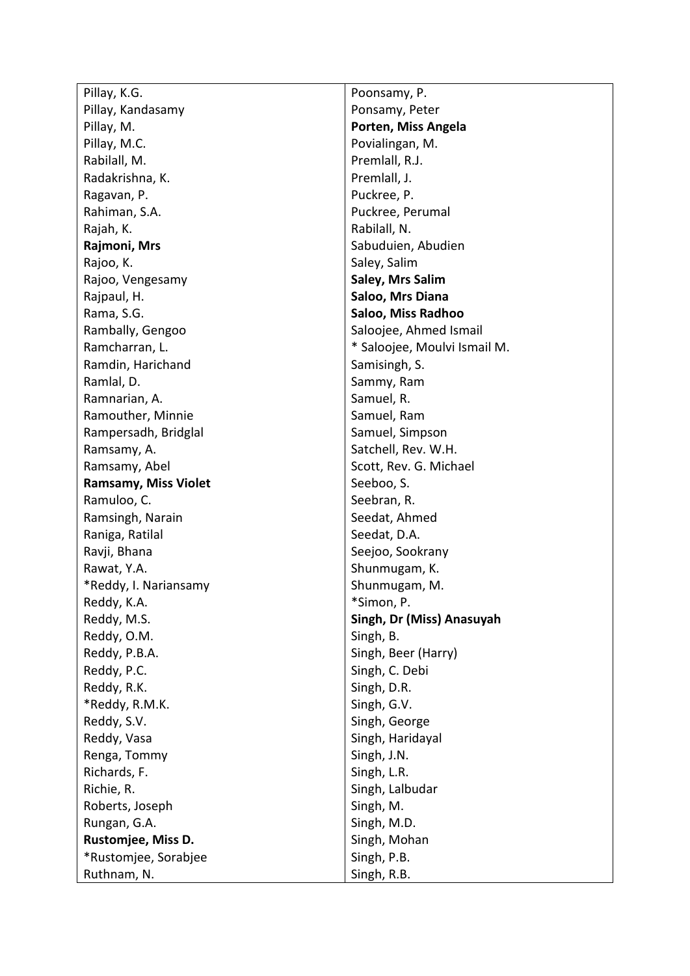| Pillay, K.G.                |
|-----------------------------|
| Pillay, Kandasamy           |
| Pillay, M.                  |
| Pillay, M.C.                |
| Rabilall, M.                |
| Radakrishna, K.             |
| Ragavan, P.                 |
| Rahiman, S.A.               |
| Rajah, K.                   |
| Rajmoni, Mrs                |
| Rajoo, K.                   |
| Rajoo, Vengesamy            |
| Rajpaul, H.                 |
| Rama, S.G.                  |
| Rambally, Gengoo            |
| Ramcharran, L.              |
| Ramdin, Harichand           |
| Ramlal, D.                  |
| Ramnarian, A.               |
| Ramouther, Minnie           |
| Rampersadh, Bridglal        |
| Ramsamy, A.                 |
| Ramsamy, Abel               |
| <b>Ramsamy, Miss Violet</b> |
| Ramuloo, C.                 |
| Ramsingh, Narain            |
| Raniga, Ratilal             |
| Ravji, Bhana                |
| Rawat, Y.A.                 |
| *Reddy, I. Nariansamy       |
| Reddy, K.A.                 |
| Reddy, M.S.                 |
| Reddy, O.M.                 |
| Reddy, P.B.A.               |
| Reddy, P.C.                 |
| Reddy, R.K.                 |
| *Reddy, R.M.K.              |
| Reddy, S.V.                 |
| Reddy, Vasa                 |
| Renga, Tommy                |
| Richards, F.                |
| Richie, R.                  |
| Roberts, Joseph             |
| Rungan, G.A.                |
| <b>Rustomjee, Miss D.</b>   |
| *Rustomjee, Sorabjee        |
| Ruthnam, N.                 |

Poonsamy, P. Ponsamy, Peter **Porten, Miss Angela** Povialingan, M. Premlall, R.J. Premlall, J. Puckree, P. Puckree, Perumal Rabilall, N. Sabuduien, Abudien Saley, Salim **Saley, Mrs Salim Saloo, Mrs Diana Saloo, Miss Radhoo**  Saloojee, Ahmed Ismail \* Saloojee, Moulvi Ismail M. Samisingh, S. Sammy, Ram Samuel, R. Samuel, Ram Samuel, Simpson Satchell, Rev. W.H. Scott, Rev. G. Michael Seeboo, S. Seebran, R. Seedat, Ahmed Seedat, D.A. Seejoo, Sookrany Shunmugam, K. Shunmugam, M. \*Simon, P. **Singh, Dr (Miss) Anasuyah** Singh, B. Singh, Beer (Harry) Singh, C. Debi Singh, D.R. Singh, G.V. Singh, George Singh, Haridayal Singh, J.N. Singh, L.R. Singh, Lalbudar Singh, M. Singh, M.D. Singh, Mohan Singh, P.B. Singh, R.B.